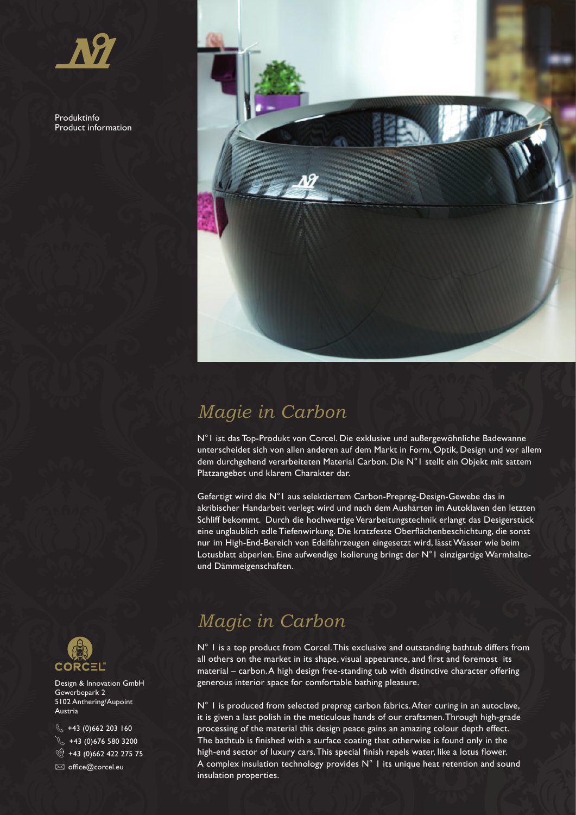Produktinfo Product information



## *Magie in Carbon*

N°1 ist das Top-Produkt von Corcel. Die exklusive und außergewöhnliche Badewanne unterscheidet sich von allen anderen auf dem Markt in Form, Optik, Design und vor allem dem durchgehend verarbeiteten Material Carbon. Die N°1 stellt ein Objekt mit sattem Platzangebot und klarem Charakter dar.

Gefertigt wird die N°1 aus selektiertem Carbon-Prepreg-Design-Gewebe das in akribischer Handarbeit verlegt wird und nach dem Aushärten im Autoklaven den letzten Schliff bekommt. Durch die hochwertige Verarbeitungstechnik erlangt das Desigerstück eine unglaublich edle Tiefenwirkung. Die kratzfeste Oberflächenbeschichtung, die sonst nur im High-End-Bereich von Edelfahrzeugen eingesetzt wird, lässt Wasser wie beim Lotusblatt abperlen. Eine aufwendige Isolierung bringt der N°1 einzigartige Warmhalteund Dämmeigenschaften.

## *Magic in Carbon*

N° 1 is a top product from Corcel. This exclusive and outstanding bathtub differs from all others on the market in its shape, visual appearance, and first and foremost its material – carbon. A high design free-standing tub with distinctive character offering generous interior space for comfortable bathing pleasure.

N° 1 is produced from selected prepreg carbon fabrics. After curing in an autoclave, it is given a last polish in the meticulous hands of our craftsmen. Through high-grade processing of the material this design peace gains an amazing colour depth effect. The bathtub is finished with a surface coating that otherwise is found only in the high-end sector of luxury cars. This special finish repels water, like a lotus flower. A complex insulation technology provides N° 1 its unique heat retention and sound insulation properties.



Design & Innovation GmbH Gewerbepark 2 5102 Anthering/Aupoint Austria

 $\frac{1}{3}$  +43 (0)662 203 160  $\sqrt{}$  +43 (0) 676 580 3200 ◎ +43 (0)662 422 275 75  $\boxtimes$  office@corcel.eu